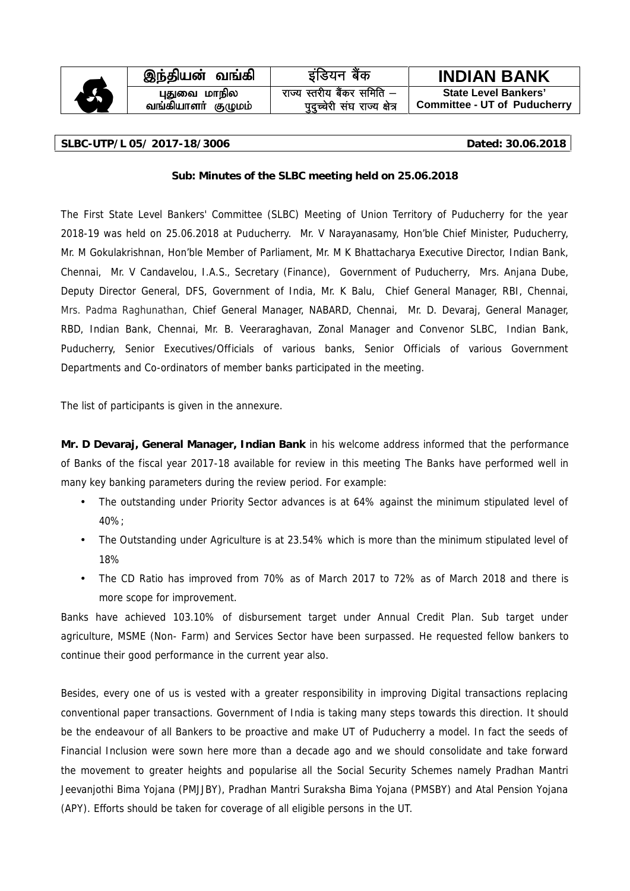|   |                                    | इंडियन बैंक                                                | <b>INDIAN BANK</b>          |
|---|------------------------------------|------------------------------------------------------------|-----------------------------|
|   |                                    |                                                            |                             |
|   | இந்தியன் வங்கி                     |                                                            |                             |
| 6 | புதுவை மாநில<br>வங்கியாளா் குழுமம் | राज्य स्तरीय बैंकर समिति –<br>पुदुच्चेरी संघ राज्य क्षेत्र | <b>State Level Bankers'</b> |

#### **SLBC-UTP/L 05/ 2017-18/3006 Dated: 30.06.2018**

## **Sub: Minutes of the SLBC meeting held on 25.06.2018**

The First State Level Bankers' Committee (SLBC) Meeting of Union Territory of Puducherry for the year 2018-19 was held on 25.06.2018 at Puducherry. Mr. V Narayanasamy, Hon'ble Chief Minister, Puducherry, Mr. M Gokulakrishnan, Hon'ble Member of Parliament, Mr. M K Bhattacharya Executive Director, Indian Bank, Chennai, Mr. V Candavelou, I.A.S., Secretary (Finance), Government of Puducherry, Mrs. Anjana Dube, Deputy Director General, DFS, Government of India, Mr. K Balu, Chief General Manager, RBI, Chennai, Mrs. Padma Raghunathan, Chief General Manager, NABARD, Chennai, Mr. D. Devaraj, General Manager, RBD, Indian Bank, Chennai, Mr. B. Veeraraghavan, Zonal Manager and Convenor SLBC, Indian Bank, Puducherry, Senior Executives/Officials of various banks, Senior Officials of various Government Departments and Co-ordinators of member banks participated in the meeting.

The list of participants is given in the annexure.

**Mr. D Devaraj, General Manager, Indian Bank** in his welcome address informed that the performance of Banks of the fiscal year 2017-18 available for review in this meeting The Banks have performed well in many key banking parameters during the review period. For example:

- The outstanding under Priority Sector advances is at 64% against the minimum stipulated level of 40%;
- The Outstanding under Agriculture is at 23.54% which is more than the minimum stipulated level of 18%
- The CD Ratio has improved from 70% as of March 2017 to 72% as of March 2018 and there is more scope for improvement.

Banks have achieved 103.10% of disbursement target under Annual Credit Plan. Sub target under agriculture, MSME (Non- Farm) and Services Sector have been surpassed. He requested fellow bankers to continue their good performance in the current year also.

Besides, every one of us is vested with a greater responsibility in improving Digital transactions replacing conventional paper transactions. Government of India is taking many steps towards this direction. It should be the endeavour of all Bankers to be proactive and make UT of Puducherry a model. In fact the seeds of Financial Inclusion were sown here more than a decade ago and we should consolidate and take forward the movement to greater heights and popularise all the Social Security Schemes namely Pradhan Mantri Jeevanjothi Bima Yojana (PMJJBY), Pradhan Mantri Suraksha Bima Yojana (PMSBY) and Atal Pension Yojana (APY). Efforts should be taken for coverage of all eligible persons in the UT.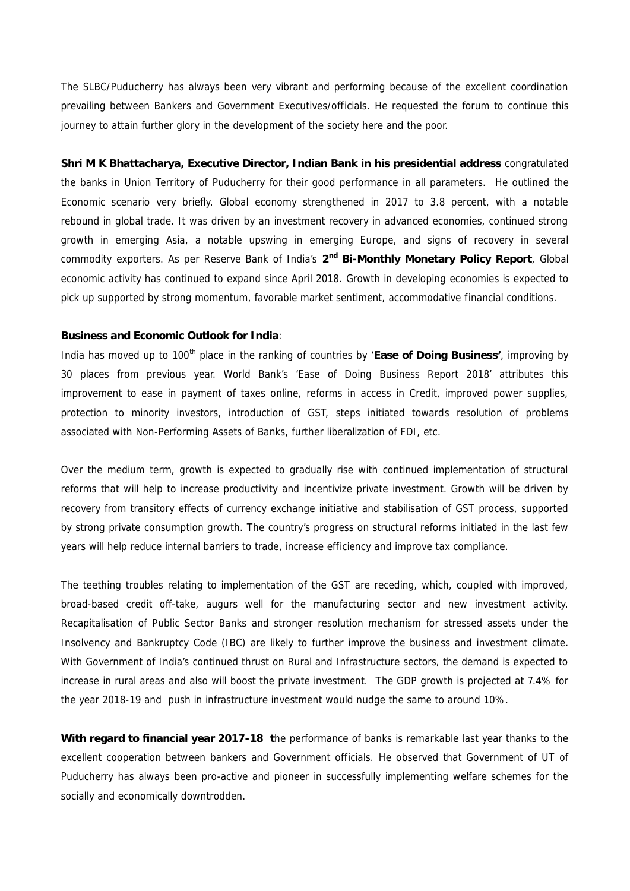The SLBC/Puducherry has always been very vibrant and performing because of the excellent coordination prevailing between Bankers and Government Executives/officials. He requested the forum to continue this journey to attain further glory in the development of the society here and the poor.

**Shri M K Bhattacharya, Executive Director, Indian Bank in his presidential address** congratulated the banks in Union Territory of Puducherry for their good performance in all parameters. He outlined the Economic scenario very briefly. Global economy strengthened in 2017 to 3.8 percent, with a notable rebound in global trade. It was driven by an investment recovery in advanced economies, continued strong growth in emerging Asia, a notable upswing in emerging Europe, and signs of recovery in several commodity exporters. As per Reserve Bank of India's **2 nd Bi-Monthly Monetary Policy Report**, Global economic activity has continued to expand since April 2018. Growth in developing economies is expected to pick up supported by strong momentum, favorable market sentiment, accommodative financial conditions.

#### **Business and Economic Outlook for India**:

India has moved up to 100<sup>th</sup> place in the ranking of countries by 'Ease of Doing Business', improving by 30 places from previous year. World Bank's 'Ease of Doing Business Report 2018' attributes this improvement to ease in payment of taxes online, reforms in access in Credit, improved power supplies, protection to minority investors, introduction of GST, steps initiated towards resolution of problems associated with Non-Performing Assets of Banks, further liberalization of FDI, etc.

Over the medium term, growth is expected to gradually rise with continued implementation of structural reforms that will help to increase productivity and incentivize private investment. Growth will be driven by recovery from transitory effects of currency exchange initiative and stabilisation of GST process, supported by strong private consumption growth. The country's progress on structural reforms initiated in the last few years will help reduce internal barriers to trade, increase efficiency and improve tax compliance.

The teething troubles relating to implementation of the GST are receding, which, coupled with improved, broad-based credit off-take, augurs well for the manufacturing sector and new investment activity. Recapitalisation of Public Sector Banks and stronger resolution mechanism for stressed assets under the Insolvency and Bankruptcy Code (IBC) are likely to further improve the business and investment climate. With Government of India's continued thrust on Rural and Infrastructure sectors, the demand is expected to increase in rural areas and also will boost the private investment. The GDP growth is projected at 7.4% for the year 2018-19 and push in infrastructure investment would nudge the same to around 10%.

**With regard to financial year 2017-18 t**he performance of banks is remarkable last year thanks to the excellent cooperation between bankers and Government officials. He observed that Government of UT of Puducherry has always been pro-active and pioneer in successfully implementing welfare schemes for the socially and economically downtrodden.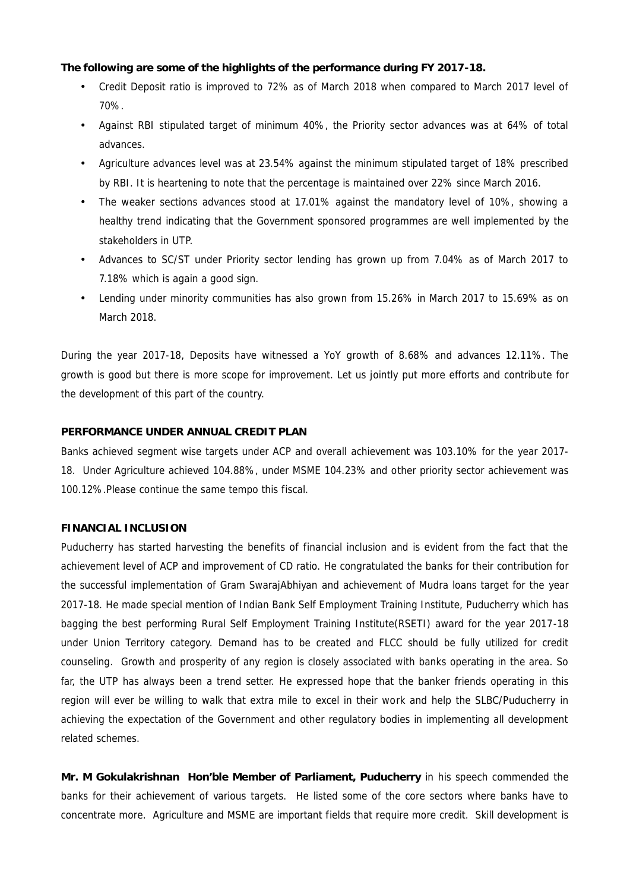**The following are some of the highlights of the performance during FY 2017-18.**

- Credit Deposit ratio is improved to 72% as of March 2018 when compared to March 2017 level of 70%.
- Against RBI stipulated target of minimum 40%, the Priority sector advances was at 64% of total advances.
- Agriculture advances level was at 23.54% against the minimum stipulated target of 18% prescribed by RBI. It is heartening to note that the percentage is maintained over 22% since March 2016.
- The weaker sections advances stood at 17.01% against the mandatory level of 10%, showing a healthy trend indicating that the Government sponsored programmes are well implemented by the stakeholders in UTP.
- Advances to SC/ST under Priority sector lending has grown up from 7.04% as of March 2017 to 7.18% which is again a good sign.
- Lending under minority communities has also grown from 15.26% in March 2017 to 15.69% as on March 2018.

During the year 2017-18, Deposits have witnessed a YoY growth of 8.68% and advances 12.11%. The growth is good but there is more scope for improvement. Let us jointly put more efforts and contribute for the development of this part of the country.

## **PERFORMANCE UNDER ANNUAL CREDIT PLAN**

Banks achieved segment wise targets under ACP and overall achievement was 103.10% for the year 2017- 18. Under Agriculture achieved 104.88%, under MSME 104.23% and other priority sector achievement was 100.12%.Please continue the same tempo this fiscal.

## **FINANCIAL INCLUSION**

Puducherry has started harvesting the benefits of financial inclusion and is evident from the fact that the achievement level of ACP and improvement of CD ratio. He congratulated the banks for their contribution for the successful implementation of Gram SwarajAbhiyan and achievement of Mudra loans target for the year 2017-18. He made special mention of Indian Bank Self Employment Training Institute, Puducherry which has bagging the best performing Rural Self Employment Training Institute(RSETI) award for the year 2017-18 under Union Territory category. Demand has to be created and FLCC should be fully utilized for credit counseling. Growth and prosperity of any region is closely associated with banks operating in the area. So far, the UTP has always been a trend setter. He expressed hope that the banker friends operating in this region will ever be willing to walk that extra mile to excel in their work and help the SLBC/Puducherry in achieving the expectation of the Government and other regulatory bodies in implementing all development related schemes.

**Mr. M Gokulakrishnan Hon'ble Member of Parliament, Puducherry** in his speech commended the banks for their achievement of various targets. He listed some of the core sectors where banks have to concentrate more. Agriculture and MSME are important fields that require more credit. Skill development is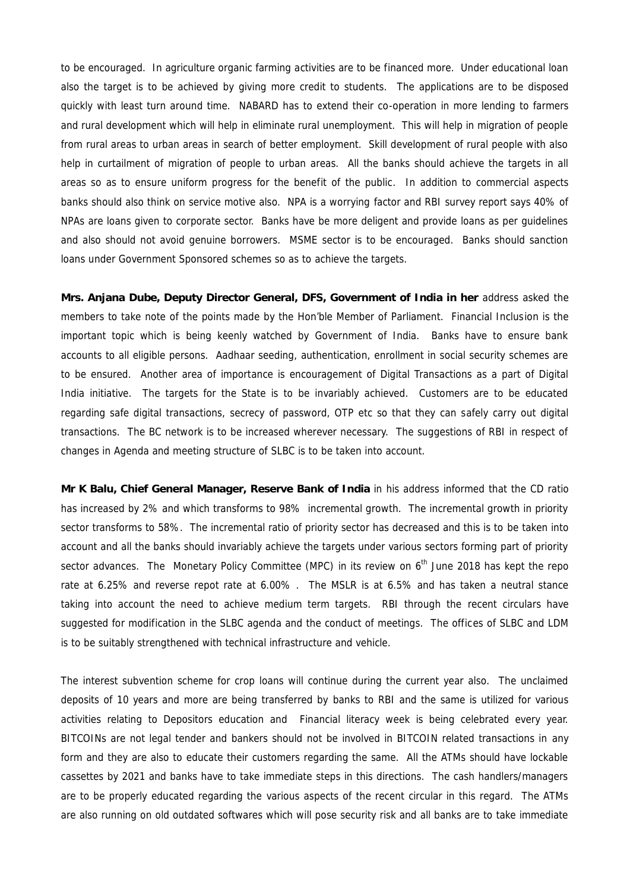to be encouraged. In agriculture organic farming activities are to be financed more. Under educational loan also the target is to be achieved by giving more credit to students. The applications are to be disposed quickly with least turn around time. NABARD has to extend their co-operation in more lending to farmers and rural development which will help in eliminate rural unemployment. This will help in migration of people from rural areas to urban areas in search of better employment. Skill development of rural people with also help in curtailment of migration of people to urban areas. All the banks should achieve the targets in all areas so as to ensure uniform progress for the benefit of the public. In addition to commercial aspects banks should also think on service motive also. NPA is a worrying factor and RBI survey report says 40% of NPAs are loans given to corporate sector. Banks have be more deligent and provide loans as per guidelines and also should not avoid genuine borrowers. MSME sector is to be encouraged. Banks should sanction loans under Government Sponsored schemes so as to achieve the targets.

**Mrs. Anjana Dube, Deputy Director General, DFS, Government of India in her** address asked the members to take note of the points made by the Hon'ble Member of Parliament. Financial Inclusion is the important topic which is being keenly watched by Government of India. Banks have to ensure bank accounts to all eligible persons. Aadhaar seeding, authentication, enrollment in social security schemes are to be ensured. Another area of importance is encouragement of Digital Transactions as a part of Digital India initiative. The targets for the State is to be invariably achieved. Customers are to be educated regarding safe digital transactions, secrecy of password, OTP etc so that they can safely carry out digital transactions. The BC network is to be increased wherever necessary. The suggestions of RBI in respect of changes in Agenda and meeting structure of SLBC is to be taken into account.

**Mr K Balu, Chief General Manager, Reserve Bank of India** in his address informed that the CD ratio has increased by 2% and which transforms to 98% incremental growth. The incremental growth in priority sector transforms to 58%. The incremental ratio of priority sector has decreased and this is to be taken into account and all the banks should invariably achieve the targets under various sectors forming part of priority sector advances. The Monetary Policy Committee (MPC) in its review on  $6<sup>th</sup>$  June 2018 has kept the repo rate at 6.25% and reverse repot rate at 6.00% . The MSLR is at 6.5% and has taken a neutral stance taking into account the need to achieve medium term targets. RBI through the recent circulars have suggested for modification in the SLBC agenda and the conduct of meetings. The offices of SLBC and LDM is to be suitably strengthened with technical infrastructure and vehicle.

The interest subvention scheme for crop loans will continue during the current year also. The unclaimed deposits of 10 years and more are being transferred by banks to RBI and the same is utilized for various activities relating to Depositors education and Financial literacy week is being celebrated every year. BITCOINs are not legal tender and bankers should not be involved in BITCOIN related transactions in any form and they are also to educate their customers regarding the same. All the ATMs should have lockable cassettes by 2021 and banks have to take immediate steps in this directions. The cash handlers/managers are to be properly educated regarding the various aspects of the recent circular in this regard. The ATMs are also running on old outdated softwares which will pose security risk and all banks are to take immediate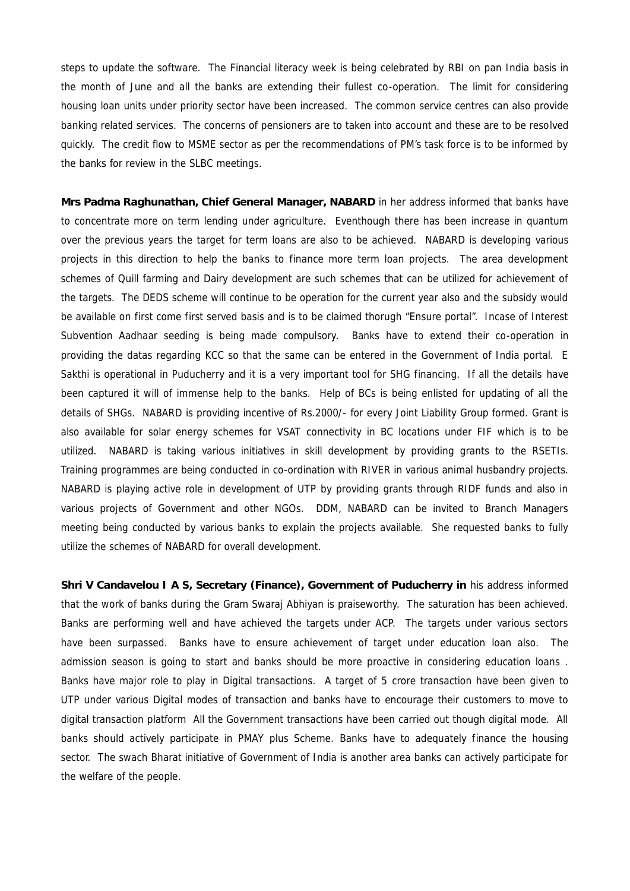steps to update the software. The Financial literacy week is being celebrated by RBI on pan India basis in the month of June and all the banks are extending their fullest co-operation. The limit for considering housing loan units under priority sector have been increased. The common service centres can also provide banking related services. The concerns of pensioners are to taken into account and these are to be resolved quickly. The credit flow to MSME sector as per the recommendations of PM's task force is to be informed by the banks for review in the SLBC meetings.

**Mrs Padma Raghunathan, Chief General Manager, NABARD** in her address informed that banks have to concentrate more on term lending under agriculture. Eventhough there has been increase in quantum over the previous years the target for term loans are also to be achieved. NABARD is developing various projects in this direction to help the banks to finance more term loan projects. The area development schemes of Quill farming and Dairy development are such schemes that can be utilized for achievement of the targets. The DEDS scheme will continue to be operation for the current year also and the subsidy would be available on first come first served basis and is to be claimed thorugh "Ensure portal". Incase of Interest Subvention Aadhaar seeding is being made compulsory. Banks have to extend their co-operation in providing the datas regarding KCC so that the same can be entered in the Government of India portal. E Sakthi is operational in Puducherry and it is a very important tool for SHG financing. If all the details have been captured it will of immense help to the banks. Help of BCs is being enlisted for updating of all the details of SHGs. NABARD is providing incentive of Rs.2000/- for every Joint Liability Group formed. Grant is also available for solar energy schemes for VSAT connectivity in BC locations under FIF which is to be utilized. NABARD is taking various initiatives in skill development by providing grants to the RSETIs. Training programmes are being conducted in co-ordination with RIVER in various animal husbandry projects. NABARD is playing active role in development of UTP by providing grants through RIDF funds and also in various projects of Government and other NGOs. DDM, NABARD can be invited to Branch Managers meeting being conducted by various banks to explain the projects available. She requested banks to fully utilize the schemes of NABARD for overall development.

**Shri V Candavelou I A S, Secretary (Finance), Government of Puducherry in** his address informed that the work of banks during the Gram Swaraj Abhiyan is praiseworthy. The saturation has been achieved. Banks are performing well and have achieved the targets under ACP. The targets under various sectors have been surpassed. Banks have to ensure achievement of target under education loan also. The admission season is going to start and banks should be more proactive in considering education loans . Banks have major role to play in Digital transactions. A target of 5 crore transaction have been given to UTP under various Digital modes of transaction and banks have to encourage their customers to move to digital transaction platform All the Government transactions have been carried out though digital mode. All banks should actively participate in PMAY plus Scheme. Banks have to adequately finance the housing sector. The swach Bharat initiative of Government of India is another area banks can actively participate for the welfare of the people.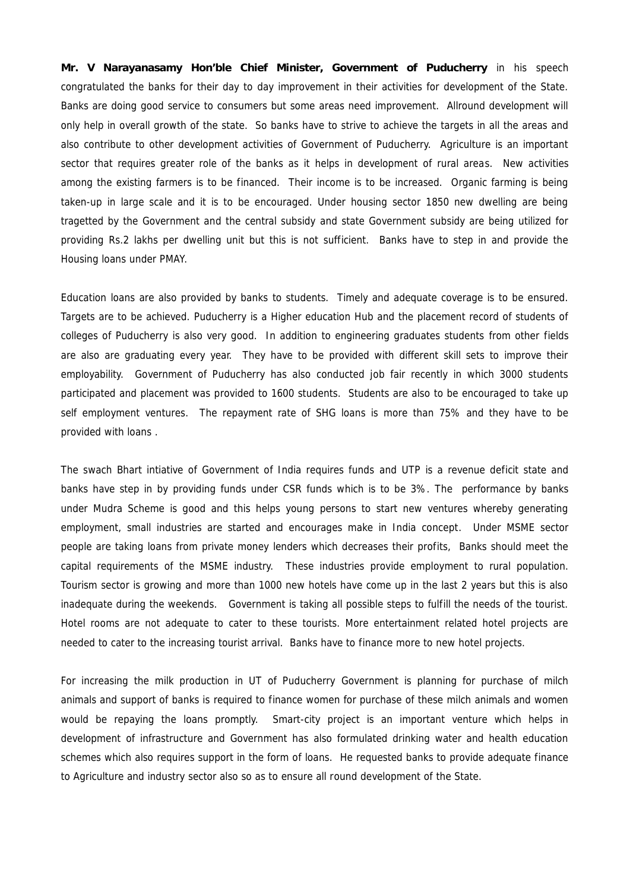**Mr. V Narayanasamy Hon'ble Chief Minister, Government of Puducherry** in his speech congratulated the banks for their day to day improvement in their activities for development of the State. Banks are doing good service to consumers but some areas need improvement. Allround development will only help in overall growth of the state. So banks have to strive to achieve the targets in all the areas and also contribute to other development activities of Government of Puducherry. Agriculture is an important sector that requires greater role of the banks as it helps in development of rural areas. New activities among the existing farmers is to be financed. Their income is to be increased. Organic farming is being taken-up in large scale and it is to be encouraged. Under housing sector 1850 new dwelling are being tragetted by the Government and the central subsidy and state Government subsidy are being utilized for providing Rs.2 lakhs per dwelling unit but this is not sufficient. Banks have to step in and provide the Housing loans under PMAY.

Education loans are also provided by banks to students. Timely and adequate coverage is to be ensured. Targets are to be achieved. Puducherry is a Higher education Hub and the placement record of students of colleges of Puducherry is also very good. In addition to engineering graduates students from other fields are also are graduating every year. They have to be provided with different skill sets to improve their employability. Government of Puducherry has also conducted job fair recently in which 3000 students participated and placement was provided to 1600 students. Students are also to be encouraged to take up self employment ventures. The repayment rate of SHG loans is more than 75% and they have to be provided with loans .

The swach Bhart intiative of Government of India requires funds and UTP is a revenue deficit state and banks have step in by providing funds under CSR funds which is to be 3%. The performance by banks under Mudra Scheme is good and this helps young persons to start new ventures whereby generating employment, small industries are started and encourages make in India concept. Under MSME sector people are taking loans from private money lenders which decreases their profits, Banks should meet the capital requirements of the MSME industry. These industries provide employment to rural population. Tourism sector is growing and more than 1000 new hotels have come up in the last 2 years but this is also inadequate during the weekends. Government is taking all possible steps to fulfill the needs of the tourist. Hotel rooms are not adequate to cater to these tourists. More entertainment related hotel projects are needed to cater to the increasing tourist arrival. Banks have to finance more to new hotel projects.

For increasing the milk production in UT of Puducherry Government is planning for purchase of milch animals and support of banks is required to finance women for purchase of these milch animals and women would be repaying the loans promptly. Smart-city project is an important venture which helps in development of infrastructure and Government has also formulated drinking water and health education schemes which also requires support in the form of loans. He requested banks to provide adequate finance to Agriculture and industry sector also so as to ensure all round development of the State.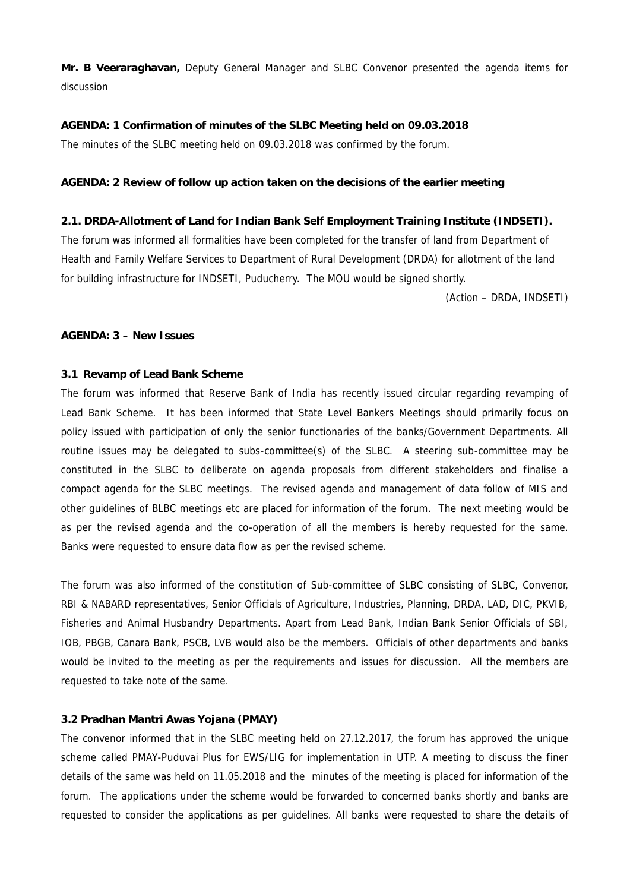**Mr. B Veeraraghavan,** Deputy General Manager and SLBC Convenor presented the agenda items for discussion

**AGENDA: 1 Confirmation of minutes of the SLBC Meeting held on 09.03.2018** The minutes of the SLBC meeting held on 09.03.2018 was confirmed by the forum.

**AGENDA: 2 Review of follow up action taken on the decisions of the earlier meeting**

**2.1. DRDA-Allotment of Land for Indian Bank Self Employment Training Institute (INDSETI).** The forum was informed all formalities have been completed for the transfer of land from Department of Health and Family Welfare Services to Department of Rural Development (DRDA) for allotment of the land for building infrastructure for INDSETI, Puducherry. The MOU would be signed shortly.

(Action – DRDA, INDSETI)

#### **AGENDA: 3 – New Issues**

### **3.1 Revamp of Lead Bank Scheme**

The forum was informed that Reserve Bank of India has recently issued circular regarding revamping of Lead Bank Scheme. It has been informed that State Level Bankers Meetings should primarily focus on policy issued with participation of only the senior functionaries of the banks/Government Departments. All routine issues may be delegated to subs-committee(s) of the SLBC. A steering sub-committee may be constituted in the SLBC to deliberate on agenda proposals from different stakeholders and finalise a compact agenda for the SLBC meetings. The revised agenda and management of data follow of MIS and other guidelines of BLBC meetings etc are placed for information of the forum. The next meeting would be as per the revised agenda and the co-operation of all the members is hereby requested for the same. Banks were requested to ensure data flow as per the revised scheme.

The forum was also informed of the constitution of Sub-committee of SLBC consisting of SLBC, Convenor, RBI & NABARD representatives, Senior Officials of Agriculture, Industries, Planning, DRDA, LAD, DIC, PKVIB, Fisheries and Animal Husbandry Departments. Apart from Lead Bank, Indian Bank Senior Officials of SBI, IOB, PBGB, Canara Bank, PSCB, LVB would also be the members. Officials of other departments and banks would be invited to the meeting as per the requirements and issues for discussion. All the members are requested to take note of the same.

### **3.2 Pradhan Mantri Awas Yojana (PMAY)**

The convenor informed that in the SLBC meeting held on 27.12.2017, the forum has approved the unique scheme called PMAY-Puduvai Plus for EWS/LIG for implementation in UTP. A meeting to discuss the finer details of the same was held on 11.05.2018 and the minutes of the meeting is placed for information of the forum. The applications under the scheme would be forwarded to concerned banks shortly and banks are requested to consider the applications as per guidelines. All banks were requested to share the details of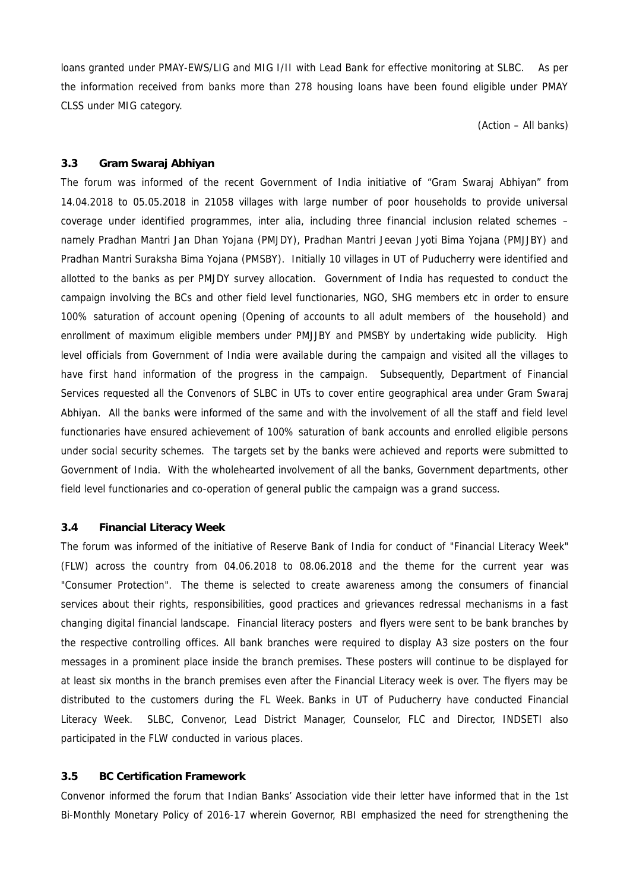loans granted under PMAY-EWS/LIG and MIG I/II with Lead Bank for effective monitoring at SLBC. As per the information received from banks more than 278 housing loans have been found eligible under PMAY CLSS under MIG category.

(Action – All banks)

## **3.3 Gram Swaraj Abhiyan**

The forum was informed of the recent Government of India initiative of "Gram Swaraj Abhiyan" from 14.04.2018 to 05.05.2018 in 21058 villages with large number of poor households to provide universal coverage under identified programmes, inter alia, including three financial inclusion related schemes – namely Pradhan Mantri Jan Dhan Yojana (PMJDY), Pradhan Mantri Jeevan Jyoti Bima Yojana (PMJJBY) and Pradhan Mantri Suraksha Bima Yojana (PMSBY). Initially 10 villages in UT of Puducherry were identified and allotted to the banks as per PMJDY survey allocation. Government of India has requested to conduct the campaign involving the BCs and other field level functionaries, NGO, SHG members etc in order to ensure 100% saturation of account opening (Opening of accounts to all adult members of the household) and enrollment of maximum eligible members under PMJJBY and PMSBY by undertaking wide publicity. High level officials from Government of India were available during the campaign and visited all the villages to have first hand information of the progress in the campaign. Subsequently, Department of Financial Services requested all the Convenors of SLBC in UTs to cover entire geographical area under Gram Swaraj Abhiyan. All the banks were informed of the same and with the involvement of all the staff and field level functionaries have ensured achievement of 100% saturation of bank accounts and enrolled eligible persons under social security schemes. The targets set by the banks were achieved and reports were submitted to Government of India. With the wholehearted involvement of all the banks, Government departments, other field level functionaries and co-operation of general public the campaign was a grand success.

## **3.4 Financial Literacy Week**

The forum was informed of the initiative of Reserve Bank of India for conduct of "Financial Literacy Week" (FLW) across the country from 04.06.2018 to 08.06.2018 and the theme for the current year was "Consumer Protection". The theme is selected to create awareness among the consumers of financial services about their rights, responsibilities, good practices and grievances redressal mechanisms in a fast changing digital financial landscape. Financial literacy posters and flyers were sent to be bank branches by the respective controlling offices. All bank branches were required to display A3 size posters on the four messages in a prominent place inside the branch premises. These posters will continue to be displayed for at least six months in the branch premises even after the Financial Literacy week is over. The flyers may be distributed to the customers during the FL Week. Banks in UT of Puducherry have conducted Financial Literacy Week. SLBC, Convenor, Lead District Manager, Counselor, FLC and Director, INDSETI also participated in the FLW conducted in various places.

#### **3.5 BC Certification Framework**

Convenor informed the forum that Indian Banks' Association vide their letter have informed that in the 1st Bi-Monthly Monetary Policy of 2016-17 wherein Governor, RBI emphasized the need for strengthening the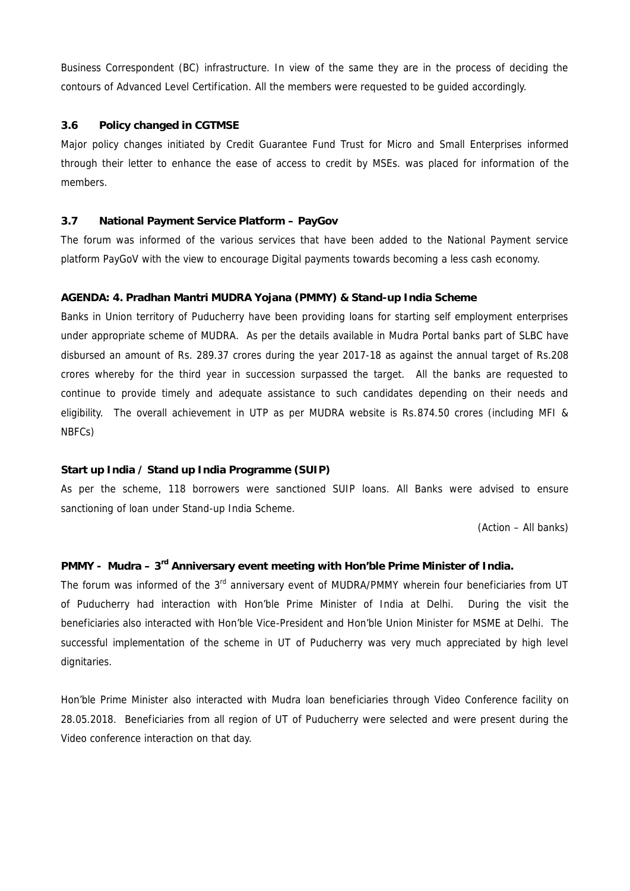Business Correspondent (BC) infrastructure. In view of the same they are in the process of deciding the contours of Advanced Level Certification. All the members were requested to be guided accordingly.

## **3.6 Policy changed in CGTMSE**

Major policy changes initiated by Credit Guarantee Fund Trust for Micro and Small Enterprises informed through their letter to enhance the ease of access to credit by MSEs. was placed for information of the members.

## **3.7 National Payment Service Platform – PayGov**

The forum was informed of the various services that have been added to the National Payment service platform PayGoV with the view to encourage Digital payments towards becoming a less cash economy.

## **AGENDA: 4. Pradhan Mantri MUDRA Yojana (PMMY) & Stand-up India Scheme**

Banks in Union territory of Puducherry have been providing loans for starting self employment enterprises under appropriate scheme of MUDRA. As per the details available in Mudra Portal banks part of SLBC have disbursed an amount of Rs. 289.37 crores during the year 2017-18 as against the annual target of Rs.208 crores whereby for the third year in succession surpassed the target. All the banks are requested to continue to provide timely and adequate assistance to such candidates depending on their needs and eligibility. The overall achievement in UTP as per MUDRA website is Rs.874.50 crores (including MFI & NBFCs)

## **Start up India / Stand up India Programme (SUIP)**

As per the scheme, 118 borrowers were sanctioned SUIP loans. All Banks were advised to ensure sanctioning of loan under Stand-up India Scheme.

(Action – All banks)

## **PMMY - Mudra – 3rd Anniversary event meeting with Hon'ble Prime Minister of India.**

The forum was informed of the 3<sup>rd</sup> anniversary event of MUDRA/PMMY wherein four beneficiaries from UT of Puducherry had interaction with Hon'ble Prime Minister of India at Delhi. During the visit the beneficiaries also interacted with Hon'ble Vice-President and Hon'ble Union Minister for MSME at Delhi. The successful implementation of the scheme in UT of Puducherry was very much appreciated by high level dignitaries.

Hon'ble Prime Minister also interacted with Mudra loan beneficiaries through Video Conference facility on 28.05.2018. Beneficiaries from all region of UT of Puducherry were selected and were present during the Video conference interaction on that day.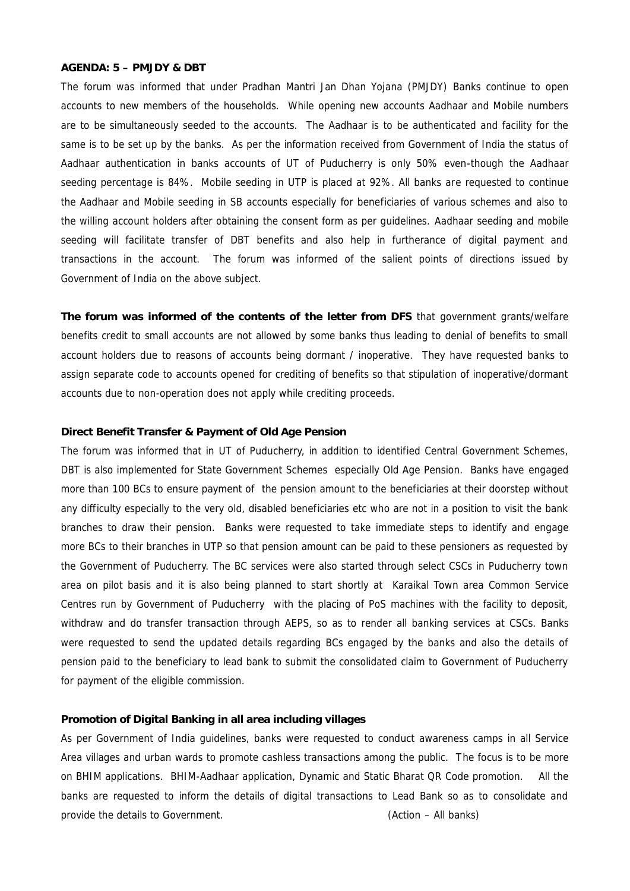#### **AGENDA: 5 – PMJDY & DBT**

The forum was informed that under Pradhan Mantri Jan Dhan Yojana (PMJDY) Banks continue to open accounts to new members of the households. While opening new accounts Aadhaar and Mobile numbers are to be simultaneously seeded to the accounts. The Aadhaar is to be authenticated and facility for the same is to be set up by the banks. As per the information received from Government of India the status of Aadhaar authentication in banks accounts of UT of Puducherry is only 50% even-though the Aadhaar seeding percentage is 84%. Mobile seeding in UTP is placed at 92%. All banks are requested to continue the Aadhaar and Mobile seeding in SB accounts especially for beneficiaries of various schemes and also to the willing account holders after obtaining the consent form as per guidelines. Aadhaar seeding and mobile seeding will facilitate transfer of DBT benefits and also help in furtherance of digital payment and transactions in the account. The forum was informed of the salient points of directions issued by Government of India on the above subject.

**The forum was informed of the contents of the letter from DFS** that government grants/welfare benefits credit to small accounts are not allowed by some banks thus leading to denial of benefits to small account holders due to reasons of accounts being dormant / inoperative. They have requested banks to assign separate code to accounts opened for crediting of benefits so that stipulation of inoperative/dormant accounts due to non-operation does not apply while crediting proceeds.

#### **Direct Benefit Transfer & Payment of Old Age Pension**

The forum was informed that in UT of Puducherry, in addition to identified Central Government Schemes, DBT is also implemented for State Government Schemes especially Old Age Pension. Banks have engaged more than 100 BCs to ensure payment of the pension amount to the beneficiaries at their doorstep without any difficulty especially to the very old, disabled beneficiaries etc who are not in a position to visit the bank branches to draw their pension. Banks were requested to take immediate steps to identify and engage more BCs to their branches in UTP so that pension amount can be paid to these pensioners as requested by the Government of Puducherry. The BC services were also started through select CSCs in Puducherry town area on pilot basis and it is also being planned to start shortly at Karaikal Town area Common Service Centres run by Government of Puducherry with the placing of PoS machines with the facility to deposit, withdraw and do transfer transaction through AEPS, so as to render all banking services at CSCs. Banks were requested to send the updated details regarding BCs engaged by the banks and also the details of pension paid to the beneficiary to lead bank to submit the consolidated claim to Government of Puducherry for payment of the eligible commission.

## **Promotion of Digital Banking in all area including villages**

As per Government of India guidelines, banks were requested to conduct awareness camps in all Service Area villages and urban wards to promote cashless transactions among the public. The focus is to be more on BHIM applications. BHIM-Aadhaar application, Dynamic and Static Bharat QR Code promotion. All the banks are requested to inform the details of digital transactions to Lead Bank so as to consolidate and provide the details to Government. (Action – All banks)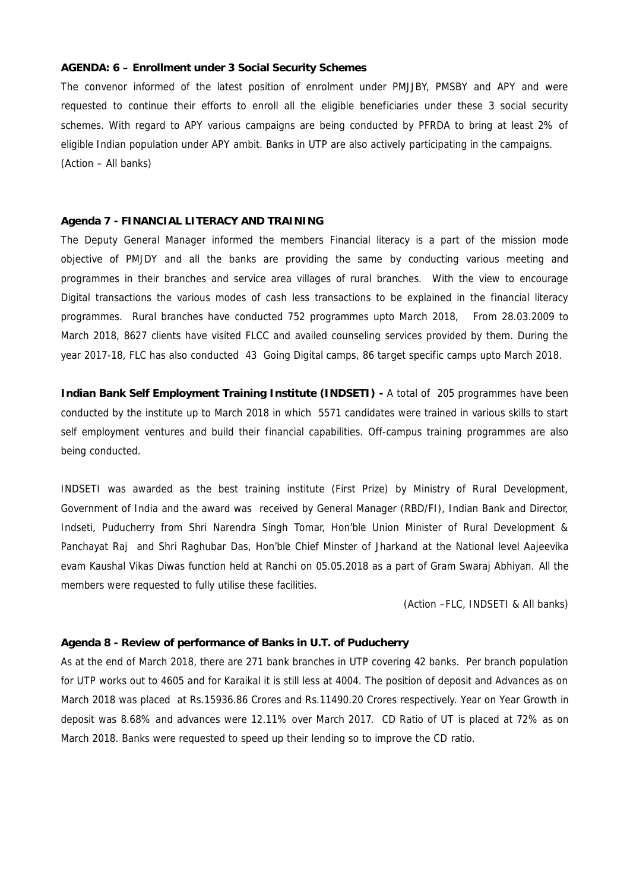### **AGENDA: 6 – Enrollment under 3 Social Security Schemes**

The convenor informed of the latest position of enrolment under PMJJBY, PMSBY and APY and were requested to continue their efforts to enroll all the eligible beneficiaries under these 3 social security schemes. With regard to APY various campaigns are being conducted by PFRDA to bring at least 2% of eligible Indian population under APY ambit. Banks in UTP are also actively participating in the campaigns. (Action – All banks)

#### **Agenda 7 - FINANCIAL LITERACY AND TRAINING**

The Deputy General Manager informed the members Financial literacy is a part of the mission mode objective of PMJDY and all the banks are providing the same by conducting various meeting and programmes in their branches and service area villages of rural branches. With the view to encourage Digital transactions the various modes of cash less transactions to be explained in the financial literacy programmes. Rural branches have conducted 752 programmes upto March 2018, From 28.03.2009 to March 2018, 8627 clients have visited FLCC and availed counseling services provided by them. During the year 2017-18, FLC has also conducted 43 Going Digital camps, 86 target specific camps upto March 2018.

**Indian Bank Self Employment Training Institute (INDSETI) -** A total of 205 programmes have been conducted by the institute up to March 2018 in which 5571 candidates were trained in various skills to start self employment ventures and build their financial capabilities. Off-campus training programmes are also being conducted.

INDSETI was awarded as the best training institute (First Prize) by Ministry of Rural Development, Government of India and the award was received by General Manager (RBD/FI), Indian Bank and Director, Indseti, Puducherry from Shri Narendra Singh Tomar, Hon'ble Union Minister of Rural Development & Panchayat Raj and Shri Raghubar Das, Hon'ble Chief Minster of Jharkand at the National level Aajeevika evam Kaushal Vikas Diwas function held at Ranchi on 05.05.2018 as a part of Gram Swaraj Abhiyan. All the members were requested to fully utilise these facilities.

(Action –FLC, INDSETI & All banks)

## **Agenda 8 - Review of performance of Banks in U.T. of Puducherry**

As at the end of March 2018, there are 271 bank branches in UTP covering 42 banks. Per branch population for UTP works out to 4605 and for Karaikal it is still less at 4004. The position of deposit and Advances as on March 2018 was placed at Rs.15936.86 Crores and Rs.11490.20 Crores respectively. Year on Year Growth in deposit was 8.68% and advances were 12.11% over March 2017. CD Ratio of UT is placed at 72% as on March 2018. Banks were requested to speed up their lending so to improve the CD ratio.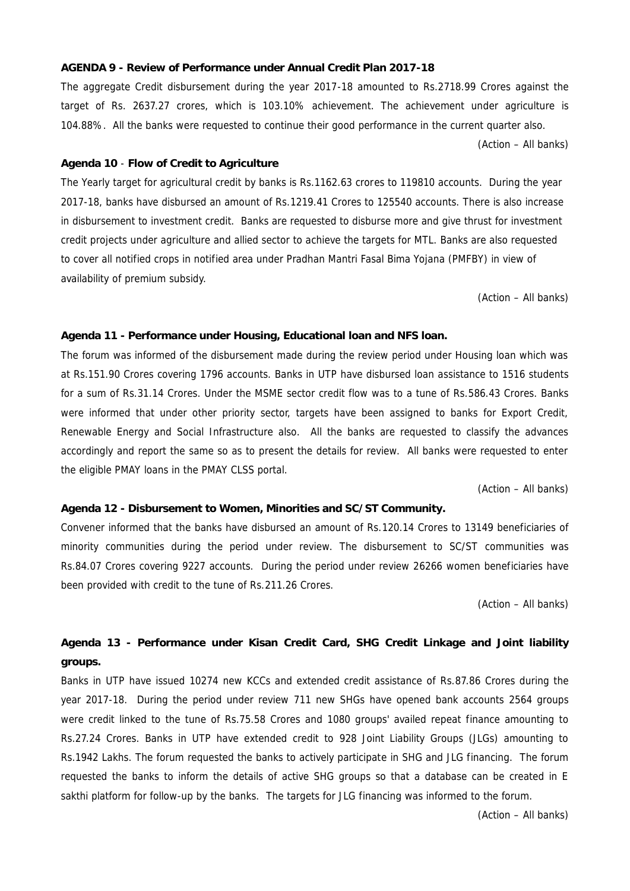### **AGENDA 9 - Review of Performance under Annual Credit Plan 2017-18**

The aggregate Credit disbursement during the year 2017-18 amounted to Rs.2718.99 Crores against the target of Rs. 2637.27 crores, which is 103.10% achievement. The achievement under agriculture is 104.88%. All the banks were requested to continue their good performance in the current quarter also.

(Action – All banks)

#### **Agenda 10** - **Flow of Credit to Agriculture**

The Yearly target for agricultural credit by banks is Rs.1162.63 crores to 119810 accounts. During the year 2017-18, banks have disbursed an amount of Rs.1219.41 Crores to 125540 accounts. There is also increase in disbursement to investment credit. Banks are requested to disburse more and give thrust for investment credit projects under agriculture and allied sector to achieve the targets for MTL. Banks are also requested to cover all notified crops in notified area under Pradhan Mantri Fasal Bima Yojana (PMFBY) in view of availability of premium subsidy.

(Action – All banks)

**Agenda 11 - Performance under Housing, Educational loan and NFS loan.**

The forum was informed of the disbursement made during the review period under Housing loan which was at Rs.151.90 Crores covering 1796 accounts. Banks in UTP have disbursed loan assistance to 1516 students for a sum of Rs.31.14 Crores. Under the MSME sector credit flow was to a tune of Rs.586.43 Crores. Banks were informed that under other priority sector, targets have been assigned to banks for Export Credit, Renewable Energy and Social Infrastructure also. All the banks are requested to classify the advances accordingly and report the same so as to present the details for review. All banks were requested to enter the eligible PMAY loans in the PMAY CLSS portal.

(Action – All banks)

#### **Agenda 12 - Disbursement to Women, Minorities and SC/ST Community.**

Convener informed that the banks have disbursed an amount of Rs.120.14 Crores to 13149 beneficiaries of minority communities during the period under review. The disbursement to SC/ST communities was Rs.84.07 Crores covering 9227 accounts. During the period under review 26266 women beneficiaries have been provided with credit to the tune of Rs.211.26 Crores.

(Action – All banks)

**Agenda 13 - Performance under Kisan Credit Card, SHG Credit Linkage and Joint liability groups.**

Banks in UTP have issued 10274 new KCCs and extended credit assistance of Rs.87.86 Crores during the year 2017-18. During the period under review 711 new SHGs have opened bank accounts 2564 groups were credit linked to the tune of Rs.75.58 Crores and 1080 groups' availed repeat finance amounting to Rs.27.24 Crores. Banks in UTP have extended credit to 928 Joint Liability Groups (JLGs) amounting to Rs.1942 Lakhs. The forum requested the banks to actively participate in SHG and JLG financing. The forum requested the banks to inform the details of active SHG groups so that a database can be created in E sakthi platform for follow-up by the banks. The targets for JLG financing was informed to the forum.

(Action – All banks)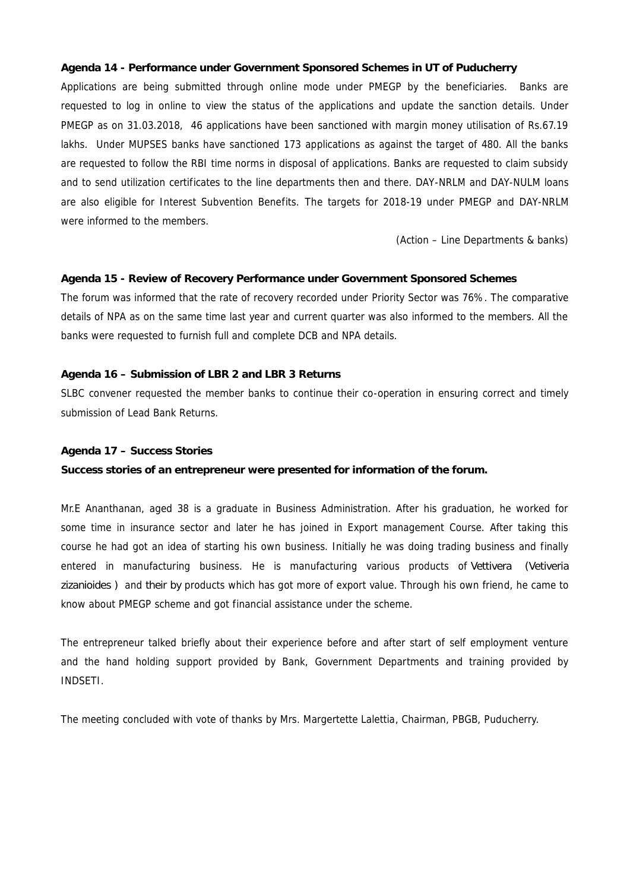**Agenda 14 - Performance under Government Sponsored Schemes in UT of Puducherry** Applications are being submitted through online mode under PMEGP by the beneficiaries. Banks are requested to log in online to view the status of the applications and update the sanction details. Under PMEGP as on 31.03.2018, 46 applications have been sanctioned with margin money utilisation of Rs.67.19 lakhs. Under MUPSES banks have sanctioned 173 applications as against the target of 480. All the banks are requested to follow the RBI time norms in disposal of applications. Banks are requested to claim subsidy and to send utilization certificates to the line departments then and there. DAY-NRLM and DAY-NULM loans are also eligible for Interest Subvention Benefits. The targets for 2018-19 under PMEGP and DAY-NRLM were informed to the members.

(Action – Line Departments & banks)

**Agenda 15 - Review of Recovery Performance under Government Sponsored Schemes** The forum was informed that the rate of recovery recorded under Priority Sector was 76%. The comparative details of NPA as on the same time last year and current quarter was also informed to the members. All the banks were requested to furnish full and complete DCB and NPA details.

**Agenda 16 – Submission of LBR 2 and LBR 3 Returns**

SLBC convener requested the member banks to continue their co-operation in ensuring correct and timely submission of Lead Bank Returns.

**Agenda 17 – Success Stories**

**Success stories of an entrepreneur were presented for information of the forum.**

Mr.E Ananthanan, aged 38 is a graduate in Business Administration. After his graduation, he worked for some time in insurance sector and later he has joined in Export management Course. After taking this course he had got an idea of starting his own business. Initially he was doing trading business and finally entered in manufacturing business. He is manufacturing various products of *Vettivera (Vetiveria zizanioides )* and *their by* products which has got more of export value. Through his own friend, he came to know about PMEGP scheme and got financial assistance under the scheme.

The entrepreneur talked briefly about their experience before and after start of self employment venture and the hand holding support provided by Bank, Government Departments and training provided by **INDSETI** 

The meeting concluded with vote of thanks by Mrs. Margertette Lalettia, Chairman, PBGB, Puducherry.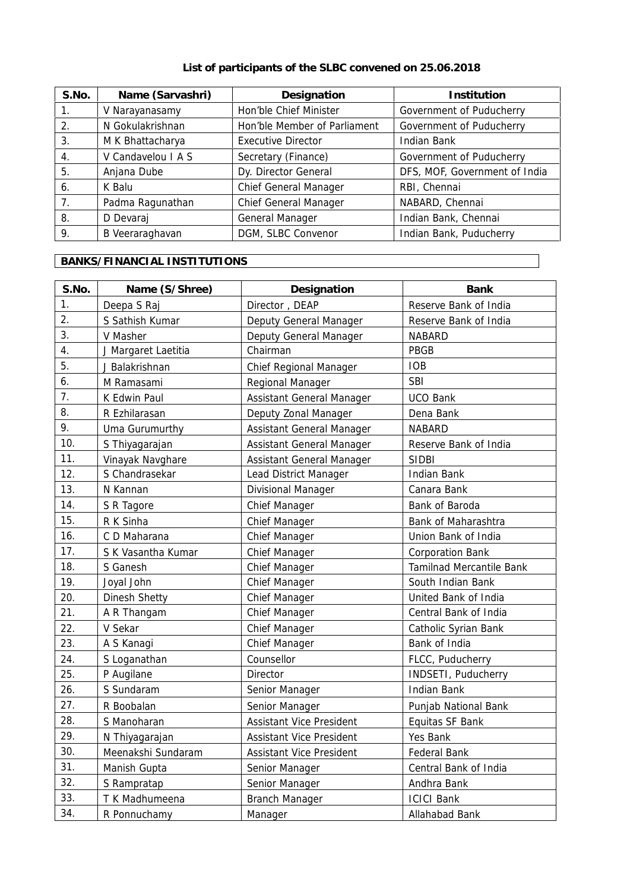# **List of participants of the SLBC convened on 25.06.2018**

| S.No. | Name (Sarvashri)   | Designation                  | Institution                   |
|-------|--------------------|------------------------------|-------------------------------|
| 1.    | V Narayanasamy     | Hon'ble Chief Minister       | Government of Puducherry      |
| 2.    | N Gokulakrishnan   | Hon'ble Member of Parliament | Government of Puducherry      |
| 3.    | M K Bhattacharya   | <b>Executive Director</b>    | Indian Bank                   |
| 4.    | V Candavelou I A S | Secretary (Finance)          | Government of Puducherry      |
| .5    | Anjana Dube        | Dy. Director General         | DFS, MOF, Government of India |
| 6.    | K Balu             | Chief General Manager        | RBI, Chennai                  |
| 7.    | Padma Ragunathan   | <b>Chief General Manager</b> | NABARD, Chennai               |
| 8.    | D Devaraj          | General Manager              | Indian Bank, Chennai          |
| 9.    | B Veeraraghavan    | DGM, SLBC Convenor           | Indian Bank, Puducherry       |

# **BANKS/FINANCIAL INSTITUTIONS**

| S.No. | Name (S/Shree)      | Designation                     | Bank                     |
|-------|---------------------|---------------------------------|--------------------------|
| 1.    | Deepa S Raj         | Director, DEAP                  | Reserve Bank of India    |
| 2.    | S Sathish Kumar     | Deputy General Manager          | Reserve Bank of India    |
| 3.    | V Masher            | Deputy General Manager          | <b>NABARD</b>            |
| 4.    | J Margaret Laetitia | Chairman                        | PBGB                     |
| 5.    | J Balakrishnan      | Chief Regional Manager          | <b>IOB</b>               |
| 6.    | M Ramasami          | Regional Manager                | <b>SBI</b>               |
| 7.    | K Edwin Paul        | Assistant General Manager       | <b>UCO Bank</b>          |
| 8.    | R Ezhilarasan       | Deputy Zonal Manager            | Dena Bank                |
| 9.    | Uma Gurumurthy      | Assistant General Manager       | <b>NABARD</b>            |
| 10.   | S Thiyagarajan      | Assistant General Manager       | Reserve Bank of India    |
| 11.   | Vinayak Navghare    | Assistant General Manager       | <b>SIDBI</b>             |
| 12.   | S Chandrasekar      | Lead District Manager           | <b>Indian Bank</b>       |
| 13.   | N Kannan            | Divisional Manager              | Canara Bank              |
| 14.   | S R Tagore          | Chief Manager                   | Bank of Baroda           |
| 15.   | R K Sinha           | Chief Manager                   | Bank of Maharashtra      |
| 16.   | C D Maharana        | Chief Manager                   | Union Bank of India      |
| 17.   | S K Vasantha Kumar  | Chief Manager                   | <b>Corporation Bank</b>  |
| 18.   | S Ganesh            | Chief Manager                   | Tamilnad Mercantile Bank |
| 19.   | Joyal John          | Chief Manager                   | South Indian Bank        |
| 20.   | Dinesh Shetty       | Chief Manager                   | United Bank of India     |
| 21.   | A R Thangam         | Chief Manager                   | Central Bank of India    |
| 22.   | V Sekar             | <b>Chief Manager</b>            | Catholic Syrian Bank     |
| 23.   | A S Kanagi          | <b>Chief Manager</b>            | Bank of India            |
| 24.   | S Loganathan        | Counsellor                      | FLCC, Puducherry         |
| 25.   | P Augilane          | Director                        | INDSETI, Puducherry      |
| 26.   | S Sundaram          | Senior Manager                  | <b>Indian Bank</b>       |
| 27.   | R Boobalan          | Senior Manager                  | Punjab National Bank     |
| 28.   | S Manoharan         | <b>Assistant Vice President</b> | Equitas SF Bank          |
| 29.   | N Thiyagarajan      | Assistant Vice President        | Yes Bank                 |
| 30.   | Meenakshi Sundaram  | Assistant Vice President        | Federal Bank             |
| 31.   | Manish Gupta        | Senior Manager                  | Central Bank of India    |
| 32.   | S Rampratap         | Senior Manager                  | Andhra Bank              |
| 33.   | T K Madhumeena      | <b>Branch Manager</b>           | <b>ICICI Bank</b>        |
| 34.   | R Ponnuchamy        | Manager                         | Allahabad Bank           |